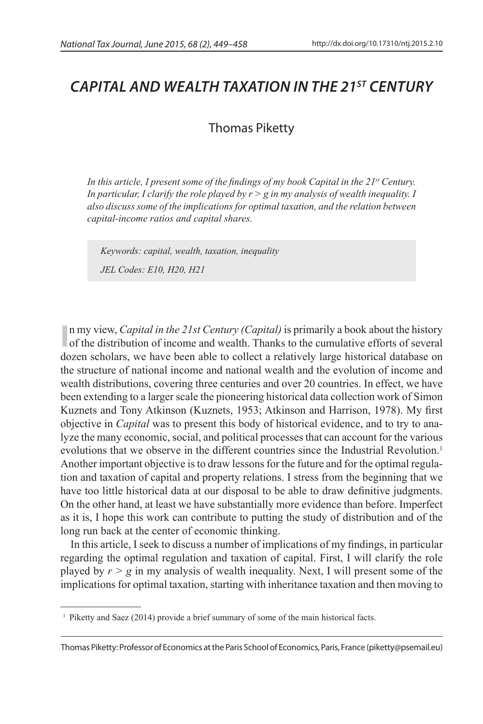# *CAPITAL AND WEALTH TAXATION IN THE 21st CENTURY*

# Thomas Piketty

*In this article, I present some of the findings of my book Capital in the 21st Century. In particular, I clarify the role played by*  $r > g$  *in my analysis of wealth inequality. I also discuss some of the implications for optimal taxation, and the relation between capital-income ratios and capital shares.*

*Keywords: capital, wealth, taxation, inequality JEL Codes: E10, H20, H21*

In my view, *Capital in the 21st Century (Capital)* is primarily a book about the history of the distribution of income and wealth. Thanks to the cumulative efforts of several n my view, *Capital in the 21st Century (Capital)* is primarily a book about the history dozen scholars, we have been able to collect a relatively large historical database on the structure of national income and national wealth and the evolution of income and wealth distributions, covering three centuries and over 20 countries. In effect, we have been extending to a larger scale the pioneering historical data collection work of Simon Kuznets and Tony Atkinson (Kuznets, 1953; Atkinson and Harrison, 1978). My first objective in *Capital* was to present this body of historical evidence, and to try to analyze the many economic, social, and political processes that can account for the various evolutions that we observe in the different countries since the Industrial Revolution.<sup>1</sup> Another important objective is to draw lessons for the future and for the optimal regulation and taxation of capital and property relations. I stress from the beginning that we have too little historical data at our disposal to be able to draw definitive judgments. On the other hand, at least we have substantially more evidence than before. Imperfect as it is, I hope this work can contribute to putting the study of distribution and of the long run back at the center of economic thinking.

In this article, I seek to discuss a number of implications of my findings, in particular regarding the optimal regulation and taxation of capital. First, I will clarify the role played by *r > g* in my analysis of wealth inequality. Next, I will present some of the implications for optimal taxation, starting with inheritance taxation and then moving to

<sup>&</sup>lt;sup>1</sup> Piketty and Saez (2014) provide a brief summary of some of the main historical facts.

Thomas Piketty: Professor of Economics at the Paris School of Economics, Paris, France (piketty@psemail.eu)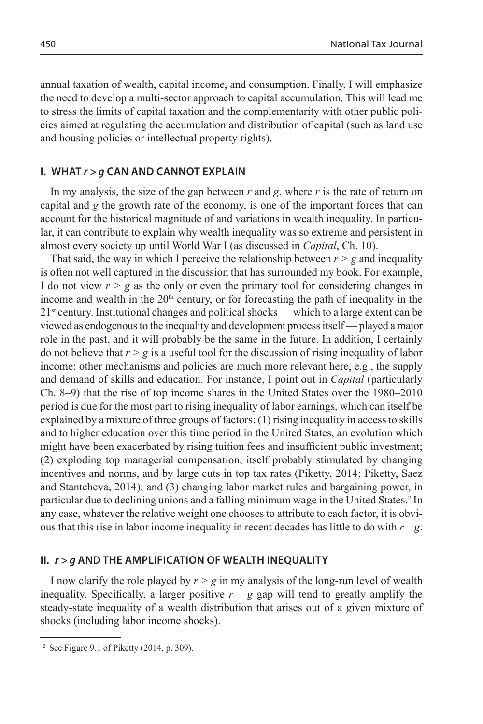annual taxation of wealth, capital income, and consumption. Finally, I will emphasize the need to develop a multi-sector approach to capital accumulation. This will lead me to stress the limits of capital taxation and the complementarity with other public policies aimed at regulating the accumulation and distribution of capital (such as land use and housing policies or intellectual property rights).

#### **I. WHAT** *r > g* **CAN AND CANNOT EXPLAIN**

In my analysis, the size of the gap between *r* and *g*, where *r* is the rate of return on capital and *g* the growth rate of the economy, is one of the important forces that can account for the historical magnitude of and variations in wealth inequality. In particular, it can contribute to explain why wealth inequality was so extreme and persistent in almost every society up until World War I (as discussed in *Capital*, Ch. 10).

That said, the way in which I perceive the relationship between  $r > g$  and inequality is often not well captured in the discussion that has surrounded my book. For example, I do not view  $r > g$  as the only or even the primary tool for considering changes in income and wealth in the  $20<sup>th</sup>$  century, or for forecasting the path of inequality in the 21st century. Institutional changes and political shocks — which to a large extent can be viewed as endogenous to the inequality and development process itself — played a major role in the past, and it will probably be the same in the future. In addition, I certainly do not believe that  $r > g$  is a useful tool for the discussion of rising inequality of labor income; other mechanisms and policies are much more relevant here, e.g., the supply and demand of skills and education. For instance, I point out in *Capital* (particularly Ch. 8–9) that the rise of top income shares in the United States over the 1980–2010 period is due for the most part to rising inequality of labor earnings, which can itself be explained by a mixture of three groups of factors: (1) rising inequality in access to skills and to higher education over this time period in the United States, an evolution which might have been exacerbated by rising tuition fees and insufficient public investment; (2) exploding top managerial compensation, itself probably stimulated by changing incentives and norms, and by large cuts in top tax rates (Piketty, 2014; Piketty, Saez and Stantcheva, 2014); and (3) changing labor market rules and bargaining power, in particular due to declining unions and a falling minimum wage in the United States.<sup>2</sup> In any case, whatever the relative weight one chooses to attribute to each factor, it is obvious that this rise in labor income inequality in recent decades has little to do with  $r-g$ .

#### **II.** *r > g* **AND THE AMPLIFICATION OF WEALTH INEQUALITY**

I now clarify the role played by *r > g* in my analysis of the long-run level of wealth inequality. Specifically, a larger positive  $r - g$  gap will tend to greatly amplify the steady-state inequality of a wealth distribution that arises out of a given mixture of shocks (including labor income shocks).

<sup>2</sup> See Figure 9.1 of Piketty (2014, p. 309).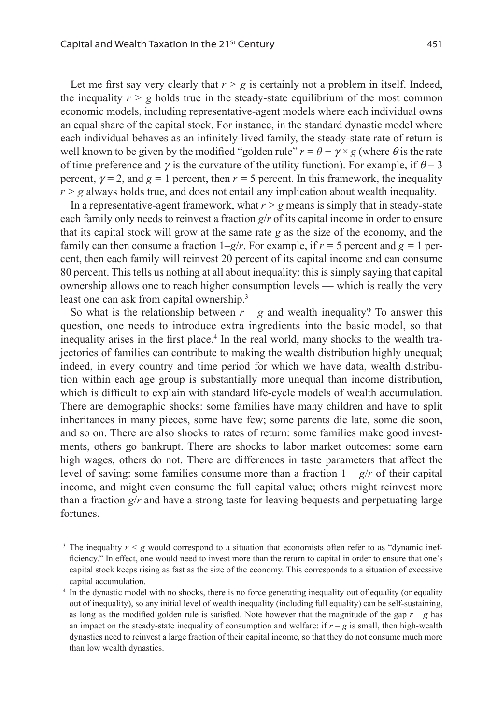Let me first say very clearly that  $r > g$  is certainly not a problem in itself. Indeed, the inequality  $r > g$  holds true in the steady-state equilibrium of the most common economic models, including representative-agent models where each individual owns an equal share of the capital stock. For instance, in the standard dynastic model where each individual behaves as an infinitely-lived family, the steady-state rate of return is well known to be given by the modified "golden rule"  $r = \theta + \gamma \times g$  (where  $\theta$  is the rate of time preference and  $\gamma$  is the curvature of the utility function). For example, if  $\theta = 3$ percent,  $\gamma = 2$ , and  $g = 1$  percent, then  $r = 5$  percent. In this framework, the inequality  $r > g$  always holds true, and does not entail any implication about wealth inequality.

In a representative-agent framework, what  $r > g$  means is simply that in steady-state each family only needs to reinvest a fraction *g*/*r* of its capital income in order to ensure that its capital stock will grow at the same rate *g* as the size of the economy, and the family can then consume a fraction  $1-g/r$ . For example, if  $r = 5$  percent and  $g = 1$  percent, then each family will reinvest 20 percent of its capital income and can consume 80 percent. This tells us nothing at all about inequality: this is simply saying that capital ownership allows one to reach higher consumption levels — which is really the very least one can ask from capital ownership.<sup>3</sup>

So what is the relationship between  $r - g$  and wealth inequality? To answer this question, one needs to introduce extra ingredients into the basic model, so that inequality arises in the first place.<sup>4</sup> In the real world, many shocks to the wealth trajectories of families can contribute to making the wealth distribution highly unequal; indeed, in every country and time period for which we have data, wealth distribution within each age group is substantially more unequal than income distribution, which is difficult to explain with standard life-cycle models of wealth accumulation. There are demographic shocks: some families have many children and have to split inheritances in many pieces, some have few; some parents die late, some die soon, and so on. There are also shocks to rates of return: some families make good investments, others go bankrupt. There are shocks to labor market outcomes: some earn high wages, others do not. There are differences in taste parameters that affect the level of saving: some families consume more than a fraction  $1 - g/r$  of their capital income, and might even consume the full capital value; others might reinvest more than a fraction *g*/*r* and have a strong taste for leaving bequests and perpetuating large fortunes.

<sup>&</sup>lt;sup>3</sup> The inequality  $r < g$  would correspond to a situation that economists often refer to as "dynamic inefficiency." In effect, one would need to invest more than the return to capital in order to ensure that one's capital stock keeps rising as fast as the size of the economy. This corresponds to a situation of excessive capital accumulation.

<sup>4</sup> In the dynastic model with no shocks, there is no force generating inequality out of equality (or equality out of inequality), so any initial level of wealth inequality (including full equality) can be self-sustaining, as long as the modified golden rule is satisfied. Note however that the magnitude of the gap  $r - g$  has an impact on the steady-state inequality of consumption and welfare: if  $r - g$  is small, then high-wealth dynasties need to reinvest a large fraction of their capital income, so that they do not consume much more than low wealth dynasties.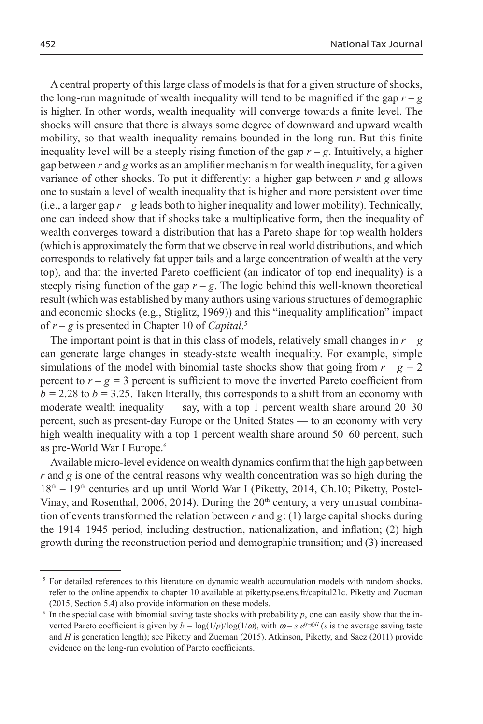A central property of this large class of models is that for a given structure of shocks, the long-run magnitude of wealth inequality will tend to be magnified if the gap  $r - g$ is higher. In other words, wealth inequality will converge towards a finite level. The shocks will ensure that there is always some degree of downward and upward wealth mobility, so that wealth inequality remains bounded in the long run. But this finite inequality level will be a steeply rising function of the gap  $r - g$ . Intuitively, a higher gap between *r* and *g* works as an amplifier mechanism for wealth inequality, for a given variance of other shocks. To put it differently: a higher gap between *r* and *g* allows one to sustain a level of wealth inequality that is higher and more persistent over time (i.e., a larger gap  $r-g$  leads both to higher inequality and lower mobility). Technically, one can indeed show that if shocks take a multiplicative form, then the inequality of wealth converges toward a distribution that has a Pareto shape for top wealth holders (which is approximately the form that we observe in real world distributions, and which corresponds to relatively fat upper tails and a large concentration of wealth at the very top), and that the inverted Pareto coefficient (an indicator of top end inequality) is a steeply rising function of the gap  $r - g$ . The logic behind this well-known theoretical result (which was established by many authors using various structures of demographic and economic shocks (e.g., Stiglitz, 1969)) and this "inequality amplification" impact of *r – g* is presented in Chapter 10 of *Capital*. 5

The important point is that in this class of models, relatively small changes in  $r - g$ can generate large changes in steady-state wealth inequality. For example, simple simulations of the model with binomial taste shocks show that going from  $r - g = 2$ percent to  $r - g = 3$  percent is sufficient to move the inverted Pareto coefficient from  $b = 2.28$  to  $b = 3.25$ . Taken literally, this corresponds to a shift from an economy with moderate wealth inequality — say, with a top 1 percent wealth share around 20–30 percent, such as present-day Europe or the United States — to an economy with very high wealth inequality with a top 1 percent wealth share around 50–60 percent, such as pre-World War I Europe.6

Available micro-level evidence on wealth dynamics confirm that the high gap between *r* and *g* is one of the central reasons why wealth concentration was so high during the  $18<sup>th</sup> - 19<sup>th</sup>$  centuries and up until World War I (Piketty, 2014, Ch.10; Piketty, Postel-Vinay, and Rosenthal, 2006, 2014). During the  $20<sup>th</sup>$  century, a very unusual combination of events transformed the relation between  $r$  and  $g$ : (1) large capital shocks during the 1914–1945 period, including destruction, nationalization, and inflation; (2) high growth during the reconstruction period and demographic transition; and (3) increased

<sup>&</sup>lt;sup>5</sup> For detailed references to this literature on dynamic wealth accumulation models with random shocks, refer to the online appendix to chapter 10 available at piketty.pse.ens.fr/capital21c. Piketty and Zucman (2015, Section 5.4) also provide information on these models.

 $6$  In the special case with binomial saving taste shocks with probability  $p$ , one can easily show that the inverted Pareto coefficient is given by  $b = \log(1/p)/\log(1/\omega)$ , with  $\omega = s e^{(r-g)H}$  (*s* is the average saving taste and *H* is generation length); see Piketty and Zucman (2015). Atkinson, Piketty, and Saez (2011) provide evidence on the long-run evolution of Pareto coefficients.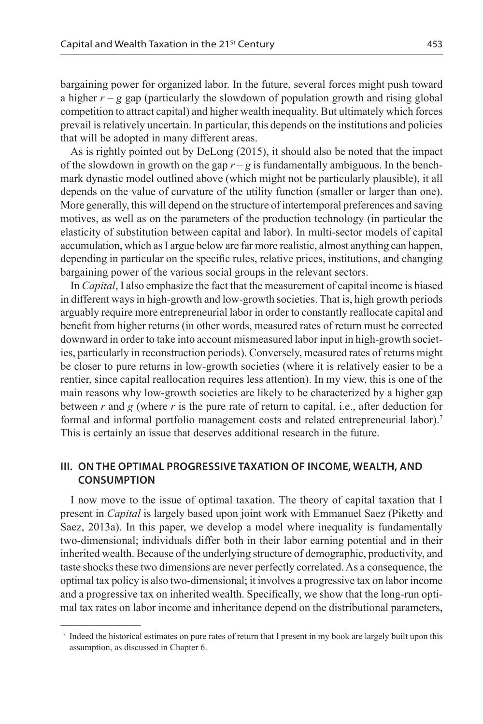bargaining power for organized labor. In the future, several forces might push toward a higher  $r - g$  gap (particularly the slowdown of population growth and rising global competition to attract capital) and higher wealth inequality. But ultimately which forces prevail is relatively uncertain. In particular, this depends on the institutions and policies that will be adopted in many different areas.

As is rightly pointed out by DeLong (2015), it should also be noted that the impact of the slowdown in growth on the gap  $r - g$  is fundamentally ambiguous. In the benchmark dynastic model outlined above (which might not be particularly plausible), it all depends on the value of curvature of the utility function (smaller or larger than one). More generally, this will depend on the structure of intertemporal preferences and saving motives, as well as on the parameters of the production technology (in particular the elasticity of substitution between capital and labor). In multi-sector models of capital accumulation, which as I argue below are far more realistic, almost anything can happen, depending in particular on the specific rules, relative prices, institutions, and changing bargaining power of the various social groups in the relevant sectors.

In *Capital*, I also emphasize the fact that the measurement of capital income is biased in different ways in high-growth and low-growth societies. That is, high growth periods arguably require more entrepreneurial labor in order to constantly reallocate capital and benefit from higher returns (in other words, measured rates of return must be corrected downward in order to take into account mismeasured labor input in high-growth societies, particularly in reconstruction periods). Conversely, measured rates of returns might be closer to pure returns in low-growth societies (where it is relatively easier to be a rentier, since capital reallocation requires less attention). In my view, this is one of the main reasons why low-growth societies are likely to be characterized by a higher gap between *r* and *g* (where *r* is the pure rate of return to capital, i.e., after deduction for formal and informal portfolio management costs and related entrepreneurial labor).7 This is certainly an issue that deserves additional research in the future.

### **III. ON THE OPTIMAL PROGRESSIVE TAXATION OF INCOME, WEALTH, AND CONSUMPTION**

I now move to the issue of optimal taxation. The theory of capital taxation that I present in *Capital* is largely based upon joint work with Emmanuel Saez (Piketty and Saez, 2013a). In this paper, we develop a model where inequality is fundamentally two-dimensional; individuals differ both in their labor earning potential and in their inherited wealth. Because of the underlying structure of demographic, productivity, and taste shocks these two dimensions are never perfectly correlated. As a consequence, the optimal tax policy is also two-dimensional; it involves a progressive tax on labor income and a progressive tax on inherited wealth. Specifically, we show that the long-run optimal tax rates on labor income and inheritance depend on the distributional parameters,

<sup>7</sup> Indeed the historical estimates on pure rates of return that I present in my book are largely built upon this assumption, as discussed in Chapter 6.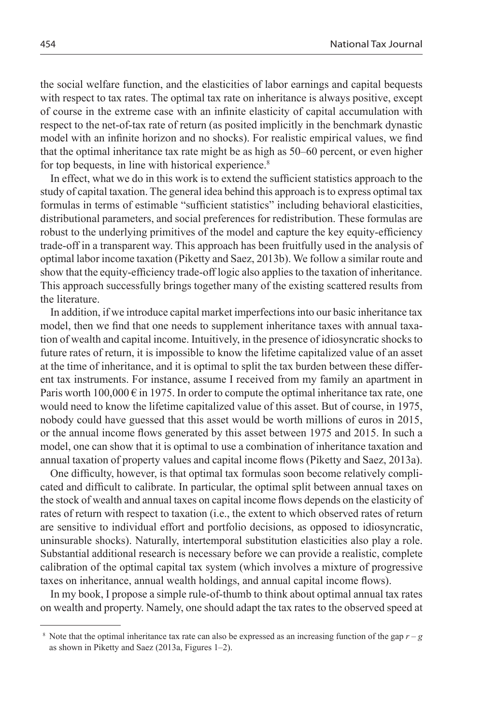the social welfare function, and the elasticities of labor earnings and capital bequests with respect to tax rates. The optimal tax rate on inheritance is always positive, except of course in the extreme case with an infinite elasticity of capital accumulation with respect to the net-of-tax rate of return (as posited implicitly in the benchmark dynastic model with an infinite horizon and no shocks). For realistic empirical values, we find that the optimal inheritance tax rate might be as high as 50–60 percent, or even higher for top bequests, in line with historical experience.<sup>8</sup>

In effect, what we do in this work is to extend the sufficient statistics approach to the study of capital taxation. The general idea behind this approach is to express optimal tax formulas in terms of estimable "sufficient statistics" including behavioral elasticities, distributional parameters, and social preferences for redistribution. These formulas are robust to the underlying primitives of the model and capture the key equity-efficiency trade-off in a transparent way. This approach has been fruitfully used in the analysis of optimal labor income taxation (Piketty and Saez, 2013b). We follow a similar route and show that the equity-efficiency trade-off logic also applies to the taxation of inheritance. This approach successfully brings together many of the existing scattered results from the literature.

In addition, if we introduce capital market imperfections into our basic inheritance tax model, then we find that one needs to supplement inheritance taxes with annual taxation of wealth and capital income. Intuitively, in the presence of idiosyncratic shocks to future rates of return, it is impossible to know the lifetime capitalized value of an asset at the time of inheritance, and it is optimal to split the tax burden between these different tax instruments. For instance, assume I received from my family an apartment in Paris worth  $100,000 \in \text{in } 1975$ . In order to compute the optimal inheritance tax rate, one would need to know the lifetime capitalized value of this asset. But of course, in 1975, nobody could have guessed that this asset would be worth millions of euros in 2015, or the annual income flows generated by this asset between 1975 and 2015. In such a model, one can show that it is optimal to use a combination of inheritance taxation and annual taxation of property values and capital income flows (Piketty and Saez, 2013a).

One difficulty, however, is that optimal tax formulas soon become relatively complicated and difficult to calibrate. In particular, the optimal split between annual taxes on the stock of wealth and annual taxes on capital income flows depends on the elasticity of rates of return with respect to taxation (i.e., the extent to which observed rates of return are sensitive to individual effort and portfolio decisions, as opposed to idiosyncratic, uninsurable shocks). Naturally, intertemporal substitution elasticities also play a role. Substantial additional research is necessary before we can provide a realistic, complete calibration of the optimal capital tax system (which involves a mixture of progressive taxes on inheritance, annual wealth holdings, and annual capital income flows).

In my book, I propose a simple rule-of-thumb to think about optimal annual tax rates on wealth and property. Namely, one should adapt the tax rates to the observed speed at

<sup>&</sup>lt;sup>8</sup> Note that the optimal inheritance tax rate can also be expressed as an increasing function of the gap  $r - g$ as shown in Piketty and Saez (2013a, Figures 1–2).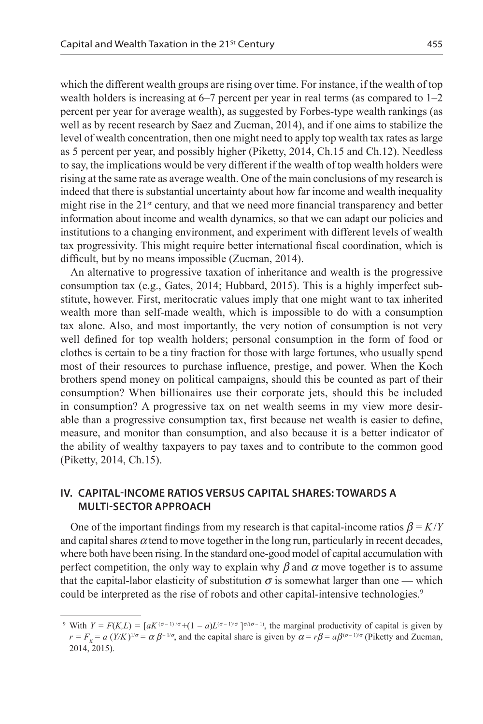which the different wealth groups are rising over time. For instance, if the wealth of top wealth holders is increasing at  $6-7$  percent per year in real terms (as compared to  $1-2$ percent per year for average wealth), as suggested by Forbes-type wealth rankings (as well as by recent research by Saez and Zucman, 2014), and if one aims to stabilize the level of wealth concentration, then one might need to apply top wealth tax rates as large as 5 percent per year, and possibly higher (Piketty, 2014, Ch.15 and Ch.12). Needless to say, the implications would be very different if the wealth of top wealth holders were rising at the same rate as average wealth. One of the main conclusions of my research is indeed that there is substantial uncertainty about how far income and wealth inequality might rise in the  $21<sup>st</sup>$  century, and that we need more financial transparency and better information about income and wealth dynamics, so that we can adapt our policies and institutions to a changing environment, and experiment with different levels of wealth tax progressivity. This might require better international fiscal coordination, which is difficult, but by no means impossible (Zucman, 2014).

An alternative to progressive taxation of inheritance and wealth is the progressive consumption tax (e.g., Gates, 2014; Hubbard, 2015). This is a highly imperfect substitute, however. First, meritocratic values imply that one might want to tax inherited wealth more than self-made wealth, which is impossible to do with a consumption tax alone. Also, and most importantly, the very notion of consumption is not very well defined for top wealth holders; personal consumption in the form of food or clothes is certain to be a tiny fraction for those with large fortunes, who usually spend most of their resources to purchase influence, prestige, and power. When the Koch brothers spend money on political campaigns, should this be counted as part of their consumption? When billionaires use their corporate jets, should this be included in consumption? A progressive tax on net wealth seems in my view more desirable than a progressive consumption tax, first because net wealth is easier to define, measure, and monitor than consumption, and also because it is a better indicator of the ability of wealthy taxpayers to pay taxes and to contribute to the common good (Piketty, 2014, Ch.15).

## **IV. CAPITAL-INCOME RATIOS VERSUS CAPiTAL SHAREs: TOWARDS A MULTI-SECTOR APPROACH**

One of the important findings from my research is that capital-income ratios  $\beta = K/Y$ and capital shares  $\alpha$  tend to move together in the long run, particularly in recent decades, where both have been rising. In the standard one-good model of capital accumulation with perfect competition, the only way to explain why  $\beta$  and  $\alpha$  move together is to assume that the capital-labor elasticity of substitution  $\sigma$  is somewhat larger than one — which could be interpreted as the rise of robots and other capital-intensive technologies.<sup>9</sup>

<sup>&</sup>lt;sup>9</sup> With  $Y = F(K, L) = [aK^{(\sigma-1)/\sigma} + (1 - a)L^{(\sigma-1)/\sigma}]^{\sigma/(\sigma-1)}$ , the marginal productivity of capital is given by  $r = F_k = a (Y/K)^{1/\sigma} = \alpha \beta^{-1/\sigma}$ , and the capital share is given by  $\alpha = r\beta = a\beta^{(\sigma-1)/\sigma}$  (Piketty and Zucman, 2014, 2015).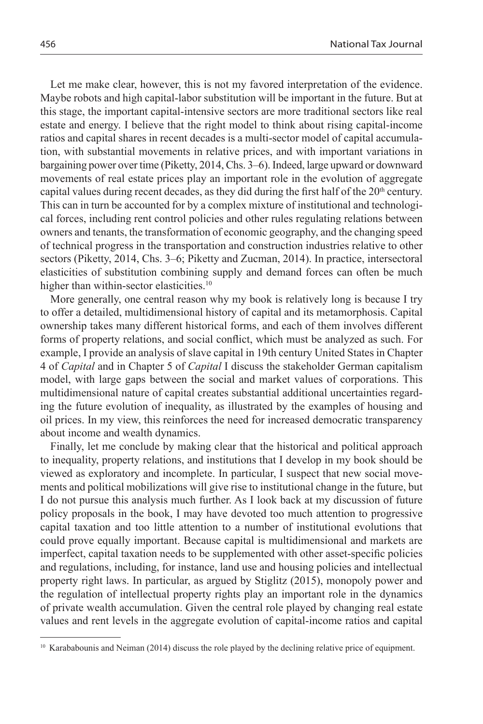Let me make clear, however, this is not my favored interpretation of the evidence. Maybe robots and high capital-labor substitution will be important in the future. But at this stage, the important capital-intensive sectors are more traditional sectors like real estate and energy. I believe that the right model to think about rising capital-income ratios and capital shares in recent decades is a multi-sector model of capital accumulation, with substantial movements in relative prices, and with important variations in bargaining power over time (Piketty, 2014, Chs. 3–6). Indeed, large upward or downward movements of real estate prices play an important role in the evolution of aggregate capital values during recent decades, as they did during the first half of the  $20<sup>th</sup>$  century. This can in turn be accounted for by a complex mixture of institutional and technological forces, including rent control policies and other rules regulating relations between owners and tenants, the transformation of economic geography, and the changing speed of technical progress in the transportation and construction industries relative to other sectors (Piketty, 2014, Chs. 3–6; Piketty and Zucman, 2014). In practice, intersectoral elasticities of substitution combining supply and demand forces can often be much higher than within-sector elasticities.<sup>10</sup>

More generally, one central reason why my book is relatively long is because I try to offer a detailed, multidimensional history of capital and its metamorphosis. Capital ownership takes many different historical forms, and each of them involves different forms of property relations, and social conflict, which must be analyzed as such. For example, I provide an analysis of slave capital in 19th century United States in Chapter 4 of *Capital* and in Chapter 5 of *Capital* I discuss the stakeholder German capitalism model, with large gaps between the social and market values of corporations. This multidimensional nature of capital creates substantial additional uncertainties regarding the future evolution of inequality, as illustrated by the examples of housing and oil prices. In my view, this reinforces the need for increased democratic transparency about income and wealth dynamics.

Finally, let me conclude by making clear that the historical and political approach to inequality, property relations, and institutions that I develop in my book should be viewed as exploratory and incomplete. In particular, I suspect that new social movements and political mobilizations will give rise to institutional change in the future, but I do not pursue this analysis much further. As I look back at my discussion of future policy proposals in the book, I may have devoted too much attention to progressive capital taxation and too little attention to a number of institutional evolutions that could prove equally important. Because capital is multidimensional and markets are imperfect, capital taxation needs to be supplemented with other asset-specific policies and regulations, including, for instance, land use and housing policies and intellectual property right laws. In particular, as argued by Stiglitz (2015), monopoly power and the regulation of intellectual property rights play an important role in the dynamics of private wealth accumulation. Given the central role played by changing real estate values and rent levels in the aggregate evolution of capital-income ratios and capital

<sup>10</sup> Karababounis and Neiman (2014) discuss the role played by the declining relative price of equipment.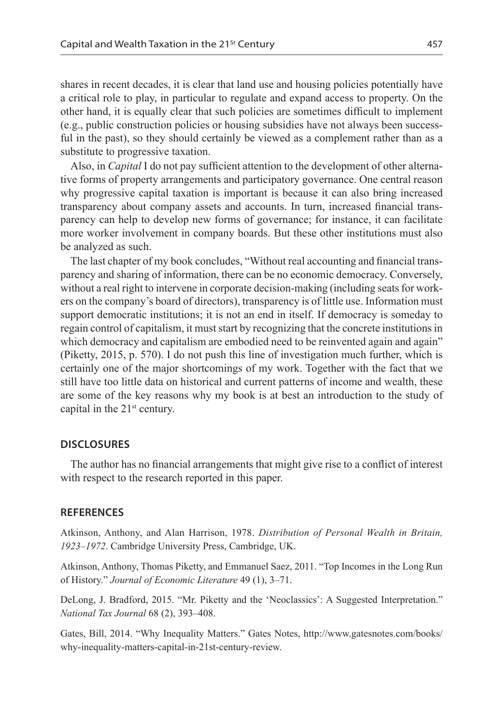shares in recent decades, it is clear that land use and housing policies potentially have a critical role to play, in particular to regulate and expand access to property. On the other hand, it is equally clear that such policies are sometimes difficult to implement (e.g., public construction policies or housing subsidies have not always been successful in the past), so they should certainly be viewed as a complement rather than as a substitute to progressive taxation.

Also, in *Capital* I do not pay sufficient attention to the development of other alternative forms of property arrangements and participatory governance. One central reason why progressive capital taxation is important is because it can also bring increased transparency about company assets and accounts. In turn, increased financial transparency can help to develop new forms of governance; for instance, it can facilitate more worker involvement in company boards. But these other institutions must also be analyzed as such.

The last chapter of my book concludes, "Without real accounting and financial transparency and sharing of information, there can be no economic democracy. Conversely, without a real right to intervene in corporate decision-making (including seats for workers on the company's board of directors), transparency is of little use. Information must support democratic institutions; it is not an end in itself. If democracy is someday to regain control of capitalism, it must start by recognizing that the concrete institutions in which democracy and capitalism are embodied need to be reinvented again and again" (Piketty, 2015, p. 570). I do not push this line of investigation much further, which is certainly one of the major shortcomings of my work. Together with the fact that we still have too little data on historical and current patterns of income and wealth, these are some of the key reasons why my book is at best an introduction to the study of capital in the  $21<sup>st</sup>$  century.

#### **DISCLOSURES**

The author has no financial arrangements that might give rise to a conflict of interest with respect to the research reported in this paper.

#### **REFERENCES**

Atkinson, Anthony, and Alan Harrison, 1978. *Distribution of Personal Wealth in Britain, 1923–1972*. Cambridge University Press, Cambridge, UK.

Atkinson, Anthony, Thomas Piketty, and Emmanuel Saez, 2011. "Top Incomes in the Long Run of History." *Journal of Economic Literature* 49 (1), 3–71.

DeLong, J. Bradford, 2015. "Mr. Piketty and the 'Neoclassics': A Suggested Interpretation." *National Tax Journal* 68 (2), 393–408.

Gates, Bill, 2014. "Why Inequality Matters." Gates Notes, http://www.gatesnotes.com/books/ why-inequality-matters-capital-in-21st-century-review.